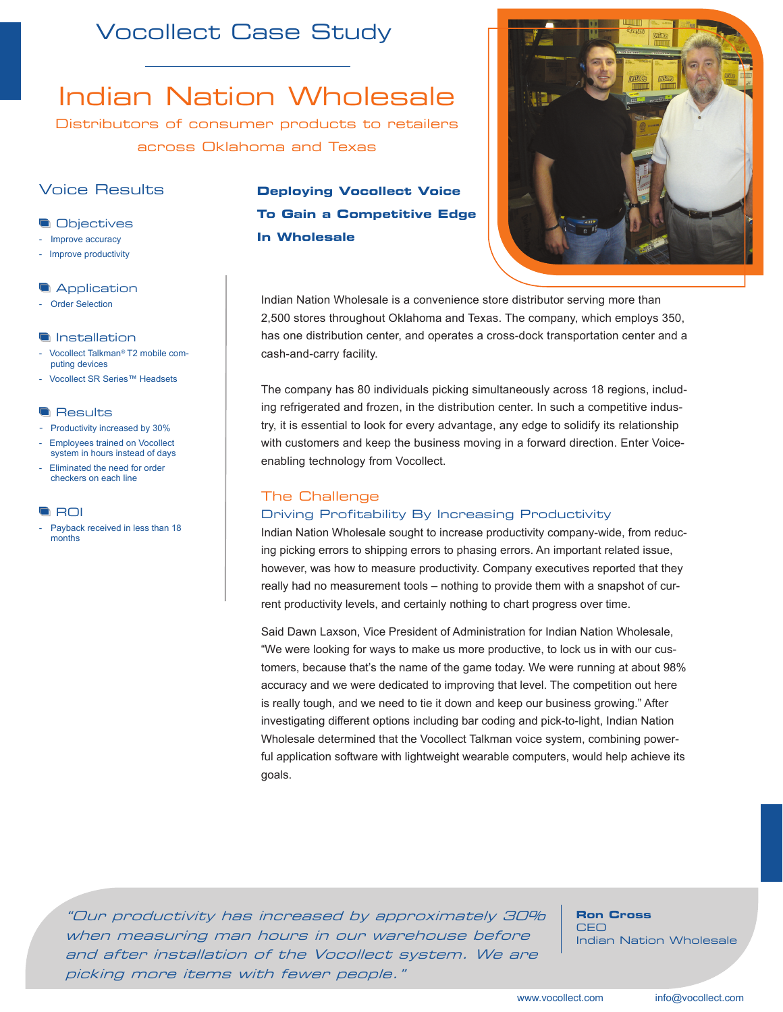## Vocollect Case Study

# Indian Nation Wholesale

Distributors of consumer products to retailers across Oklahoma and Texas

## Voice Results

## **Objectives**

- Improve accuracy
- Improve productivity

## **Application**

**Order Selection** 

## **Installation**

- Vocollect Talkman*®* T2 mobile computing devices
- Vocollect SR Series™ Headsets

## **Results**

- Productivity increased by 30%
- Employees trained on Vocollect system in hours instead of days
- Eliminated the need for order checkers on each line

#### **G** ROI

Payback received in less than 18 months

## **Deploying Vocollect Voice To Gain a Competitive Edge In Wholesale**



Indian Nation Wholesale is a convenience store distributor serving more than 2,500 stores throughout Oklahoma and Texas. The company, which employs 350, has one distribution center, and operates a cross-dock transportation center and a cash-and-carry facility.

The company has 80 individuals picking simultaneously across 18 regions, including refrigerated and frozen, in the distribution center. In such a competitive industry, it is essential to look for every advantage, any edge to solidify its relationship with customers and keep the business moving in a forward direction. Enter Voiceenabling technology from Vocollect.

## The Challenge

## Driving Profitability By Increasing Productivity

Indian Nation Wholesale sought to increase productivity company-wide, from reducing picking errors to shipping errors to phasing errors. An important related issue, however, was how to measure productivity. Company executives reported that they really had no measurement tools – nothing to provide them with a snapshot of current productivity levels, and certainly nothing to chart progress over time.

Said Dawn Laxson, Vice President of Administration for Indian Nation Wholesale, "We were looking for ways to make us more productive, to lock us in with our customers, because that's the name of the game today. We were running at about 98% accuracy and we were dedicated to improving that level. The competition out here is really tough, and we need to tie it down and keep our business growing." After investigating different options including bar coding and pick-to-light, Indian Nation Wholesale determined that the Vocollect Talkman voice system, combining powerful application software with lightweight wearable computers, would help achieve its goals.

"Our productivity has increased by approximately 30% when measuring man hours in our warehouse before and after installation of the Vocollect system. We are picking more items with fewer people."

**Ron Cross**  CEO Indian Nation Wholesale